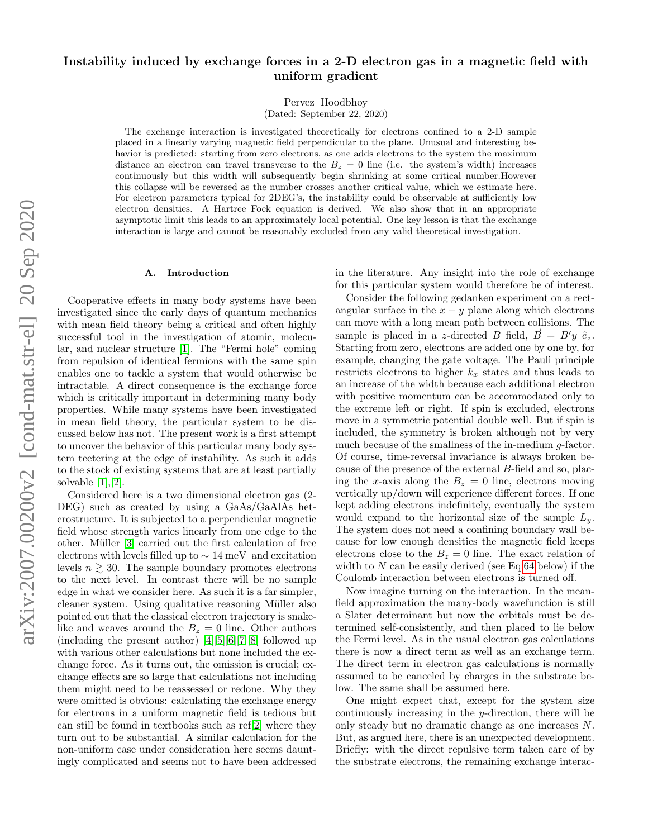# Instability induced by exchange forces in a 2-D electron gas in a magnetic field with uniform gradient

Pervez Hoodbhoy

(Dated: September 22, 2020)

The exchange interaction is investigated theoretically for electrons confined to a 2-D sample placed in a linearly varying magnetic field perpendicular to the plane. Unusual and interesting behavior is predicted: starting from zero electrons, as one adds electrons to the system the maximum distance an electron can travel transverse to the  $B<sub>z</sub> = 0$  line (i.e. the system's width) increases continuously but this width will subsequently begin shrinking at some critical number.However this collapse will be reversed as the number crosses another critical value, which we estimate here. For electron parameters typical for 2DEG's, the instability could be observable at sufficiently low electron densities. A Hartree Fock equation is derived. We also show that in an appropriate asymptotic limit this leads to an approximately local potential. One key lesson is that the exchange interaction is large and cannot be reasonably excluded from any valid theoretical investigation.

#### A. Introduction

Cooperative effects in many body systems have been investigated since the early days of quantum mechanics with mean field theory being a critical and often highly successful tool in the investigation of atomic, molecular, and nuclear structure [\[1\]](#page-8-0). The "Fermi hole" coming from repulsion of identical fermions with the same spin enables one to tackle a system that would otherwise be intractable. A direct consequence is the exchange force which is critically important in determining many body properties. While many systems have been investigated in mean field theory, the particular system to be discussed below has not. The present work is a first attempt to uncover the behavior of this particular many body system teetering at the edge of instability. As such it adds to the stock of existing systems that are at least partially solvable [\[1\]](#page-8-0),[\[2\]](#page-8-1).

Considered here is a two dimensional electron gas (2- DEG) such as created by using a GaAs/GaAlAs heterostructure. It is subjected to a perpendicular magnetic field whose strength varies linearly from one edge to the other. Müller [\[3\]](#page-8-2) carried out the first calculation of free electrons with levels filled up to ∼ 14 meV and excitation levels  $n \geq 30$ . The sample boundary promotes electrons to the next level. In contrast there will be no sample edge in what we consider here. As such it is a far simpler, cleaner system. Using qualitative reasoning Müller also pointed out that the classical electron trajectory is snakelike and weaves around the  $B_z = 0$  line. Other authors (including the present author) [\[4\]](#page-8-3)[\[5\]](#page-8-4)[\[6\]](#page-8-5)[\[7\]](#page-8-6)[\[8\]](#page-8-7) followed up with various other calculations but none included the exchange force. As it turns out, the omission is crucial; exchange effects are so large that calculations not including them might need to be reassessed or redone. Why they were omitted is obvious: calculating the exchange energy for electrons in a uniform magnetic field is tedious but can still be found in textbooks such as ref[\[2\]](#page-8-1) where they turn out to be substantial. A similar calculation for the non-uniform case under consideration here seems dauntingly complicated and seems not to have been addressed in the literature. Any insight into the role of exchange for this particular system would therefore be of interest.

Consider the following gedanken experiment on a rectangular surface in the  $x - y$  plane along which electrons can move with a long mean path between collisions. The sample is placed in a z-directed B field,  $\vec{B} = B'y \hat{e}_z$ . Starting from zero, electrons are added one by one by, for example, changing the gate voltage. The Pauli principle restricts electrons to higher  $k_x$  states and thus leads to an increase of the width because each additional electron with positive momentum can be accommodated only to the extreme left or right. If spin is excluded, electrons move in a symmetric potential double well. But if spin is included, the symmetry is broken although not by very much because of the smallness of the in-medium g-factor. Of course, time-reversal invariance is always broken because of the presence of the external B-field and so, placing the x-axis along the  $B_z = 0$  line, electrons moving vertically up/down will experience different forces. If one kept adding electrons indefinitely, eventually the system would expand to the horizontal size of the sample  $L_y$ . The system does not need a confining boundary wall because for low enough densities the magnetic field keeps electrons close to the  $B_z = 0$  line. The exact relation of width to  $N$  can be easily derived (see Eq[.64](#page-7-0) below) if the Coulomb interaction between electrons is turned off.

Now imagine turning on the interaction. In the meanfield approximation the many-body wavefunction is still a Slater determinant but now the orbitals must be determined self-consistently, and then placed to lie below the Fermi level. As in the usual electron gas calculations there is now a direct term as well as an exchange term. The direct term in electron gas calculations is normally assumed to be canceled by charges in the substrate below. The same shall be assumed here.

One might expect that, except for the system size continuously increasing in the y-direction, there will be only steady but no dramatic change as one increases N. But, as argued here, there is an unexpected development. Briefly: with the direct repulsive term taken care of by the substrate electrons, the remaining exchange interac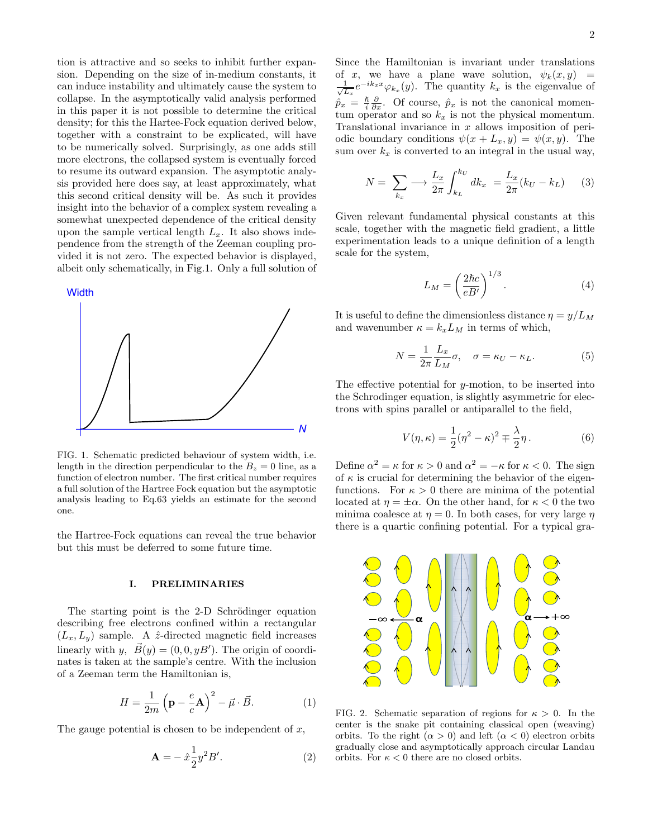tion is attractive and so seeks to inhibit further expansion. Depending on the size of in-medium constants, it can induce instability and ultimately cause the system to collapse. In the asymptotically valid analysis performed in this paper it is not possible to determine the critical density; for this the Hartee-Fock equation derived below, together with a constraint to be explicated, will have to be numerically solved. Surprisingly, as one adds still more electrons, the collapsed system is eventually forced to resume its outward expansion. The asymptotic analysis provided here does say, at least approximately, what this second critical density will be. As such it provides insight into the behavior of a complex system revealing a somewhat unexpected dependence of the critical density upon the sample vertical length  $L_x$ . It also shows independence from the strength of the Zeeman coupling provided it is not zero. The expected behavior is displayed, albeit only schematically, in Fig.1. Only a full solution of



FIG. 1. Schematic predicted behaviour of system width, i.e. length in the direction perpendicular to the  $B_z = 0$  line, as a function of electron number. The first critical number requires a full solution of the Hartree Fock equation but the asymptotic analysis leading to Eq.63 yields an estimate for the second one.

the Hartree-Fock equations can reveal the true behavior but this must be deferred to some future time.

### I. PRELIMINARIES

The starting point is the 2-D Schrödinger equation describing free electrons confined within a rectangular  $(L_x, L_y)$  sample. A  $\hat{z}$ -directed magnetic field increases linearly with y,  $\vec{B}(y) = (0, 0, yB')$ . The origin of coordinates is taken at the sample's centre. With the inclusion of a Zeeman term the Hamiltonian is,

$$
H = \frac{1}{2m} \left( \mathbf{p} - \frac{e}{c} \mathbf{A} \right)^2 - \vec{\mu} \cdot \vec{B}.
$$
 (1)

The gauge potential is chosen to be independent of  $x$ ,

$$
\mathbf{A} = -\hat{x}\frac{1}{2}y^2B'.
$$
 (2)

Since the Hamiltonian is invariant under translations of x, we have a plane wave solution,  $\psi_k(x, y)$  =  $\frac{1}{2}$  $\frac{1}{L_x}e^{-ik_xx}\varphi_{k_x}(y)$ . The quantity  $k_x$  is the eigenvalue of  $\hat{p}_x = \frac{\hslash}{i}$  $\frac{\hbar}{i} \frac{\partial}{\partial x}$ . Of course,  $\hat{p}_x$  is not the canonical momentum operator and so  $k_x$  is not the physical momentum. Translational invariance in  $x$  allows imposition of periodic boundary conditions  $\psi(x + L_x, y) = \psi(x, y)$ . The sum over  $k_x$  is converted to an integral in the usual way,

$$
N = \sum_{k_x} \longrightarrow \frac{L_x}{2\pi} \int_{k_L}^{k_U} dk_x = \frac{L_x}{2\pi} (k_U - k_L) \tag{3}
$$

Given relevant fundamental physical constants at this scale, together with the magnetic field gradient, a little experimentation leads to a unique definition of a length scale for the system,

$$
L_M = \left(\frac{2\hbar c}{eB'}\right)^{1/3}.\tag{4}
$$

It is useful to define the dimensionless distance  $\eta = y/L_M$ and wavenumber  $\kappa = k_x L_M$  in terms of which,

$$
N = \frac{1}{2\pi} \frac{L_x}{L_M} \sigma, \quad \sigma = \kappa_U - \kappa_L.
$$
 (5)

The effective potential for  $y$ -motion, to be inserted into the Schrodinger equation, is slightly asymmetric for electrons with spins parallel or antiparallel to the field,

<span id="page-1-0"></span>
$$
V(\eta, \kappa) = \frac{1}{2}(\eta^2 - \kappa)^2 \mp \frac{\lambda}{2}\eta.
$$
 (6)

Define  $\alpha^2 = \kappa$  for  $\kappa > 0$  and  $\alpha^2 = -\kappa$  for  $\kappa < 0$ . The sign of  $\kappa$  is crucial for determining the behavior of the eigenfunctions. For  $\kappa > 0$  there are minima of the potential located at  $\eta = \pm \alpha$ . On the other hand, for  $\kappa < 0$  the two minima coalesce at  $\eta = 0$ . In both cases, for very large  $\eta$ there is a quartic confining potential. For a typical gra-



FIG. 2. Schematic separation of regions for  $\kappa > 0$ . In the center is the snake pit containing classical open (weaving) orbits. To the right  $(\alpha > 0)$  and left  $(\alpha < 0)$  electron orbits gradually close and asymptotically approach circular Landau orbits. For  $\kappa < 0$  there are no closed orbits.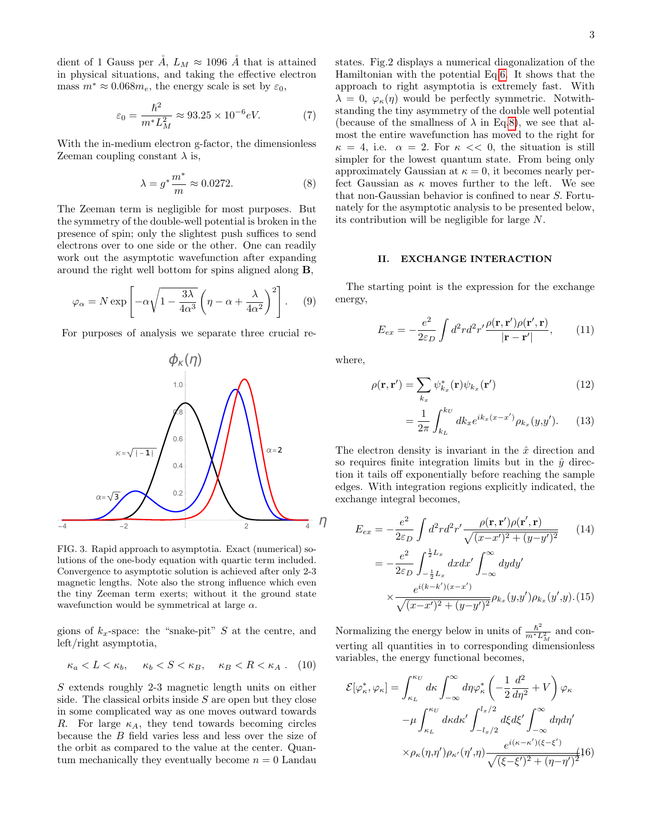dient of 1 Gauss per  $\AA$ ,  $L_M \approx 1096$   $\AA$  that is attained in physical situations, and taking the effective electron mass  $m^* \approx 0.068m_e$ , the energy scale is set by  $\varepsilon_0$ ,

$$
\varepsilon_0 = \frac{\hbar^2}{m^* L_M^2} \approx 93.25 \times 10^{-6} eV. \tag{7}
$$

With the in-medium electron g-factor, the dimensionless Zeeman coupling constant  $\lambda$  is,

<span id="page-2-0"></span>
$$
\lambda = g^* \frac{m^*}{m} \approx 0.0272. \tag{8}
$$

The Zeeman term is negligible for most purposes. But the symmetry of the double-well potential is broken in the presence of spin; only the slightest push suffices to send electrons over to one side or the other. One can readily work out the asymptotic wavefunction after expanding around the right well bottom for spins aligned along B,

$$
\varphi_{\alpha} = N \exp \left[ -\alpha \sqrt{1 - \frac{3\lambda}{4\alpha^3}} \left( \eta - \alpha + \frac{\lambda}{4\alpha^2} \right)^2 \right].
$$
 (9)

For purposes of analysis we separate three crucial re-



FIG. 3. Rapid approach to asymptotia. Exact (numerical) solutions of the one-body equation with quartic term included. Convergence to asymptotic solution is achieved after only 2-3 magnetic lengths. Note also the strong influence which even the tiny Zeeman term exerts; without it the ground state wavefunction would be symmetrical at large  $\alpha$ .

gions of  $k_x$ -space: the "snake-pit" S at the centre, and left/right asymptotia,

$$
\kappa_a < L < \kappa_b, \quad \kappa_b < S < \kappa_B, \quad \kappa_B < R < \kappa_A \ . \tag{10}
$$

S extends roughly 2-3 magnetic length units on either side. The classical orbits inside  $S$  are open but they close in some complicated way as one moves outward towards R. For large  $\kappa_A$ , they tend towards becoming circles because the B field varies less and less over the size of the orbit as compared to the value at the center. Quantum mechanically they eventually become  $n = 0$  Landau states. Fig.2 displays a numerical diagonalization of the Hamiltonian with the potential Eq[.6.](#page-1-0) It shows that the approach to right asymptotia is extremely fast. With  $\lambda = 0, \varphi_{\kappa}(\eta)$  would be perfectly symmetric. Notwithstanding the tiny asymmetry of the double well potential (because of the smallness of  $\lambda$  in Eq[.8\)](#page-2-0), we see that almost the entire wavefunction has moved to the right for  $\kappa = 4$ , i.e.  $\alpha = 2$ . For  $\kappa \ll 0$ , the situation is still simpler for the lowest quantum state. From being only approximately Gaussian at  $\kappa = 0$ , it becomes nearly perfect Gaussian as  $\kappa$  moves further to the left. We see that non-Gaussian behavior is confined to near S. Fortunately for the asymptotic analysis to be presented below, its contribution will be negligible for large N.

#### II. EXCHANGE INTERACTION

The starting point is the expression for the exchange energy,

$$
E_{ex} = -\frac{e^2}{2\varepsilon_D} \int d^2r d^2r' \frac{\rho(\mathbf{r}, \mathbf{r}')\rho(\mathbf{r}', \mathbf{r})}{|\mathbf{r} - \mathbf{r}'|},\qquad(11)
$$

where,

$$
\rho(\mathbf{r}, \mathbf{r}') = \sum_{k_x} \psi_{k_x}^*(\mathbf{r}) \psi_{k_x}(\mathbf{r}')
$$
\n(12)

$$
= \frac{1}{2\pi} \int_{k_L}^{k_U} dk_x e^{ik_x(x-x')} \rho_{k_x}(y,y'). \tag{13}
$$

The electron density is invariant in the  $\hat{x}$  direction and so requires finite integration limits but in the  $\hat{y}$  direction it tails off exponentially before reaching the sample edges. With integration regions explicitly indicated, the exchange integral becomes,

$$
E_{ex} = -\frac{e^2}{2\varepsilon_D} \int d^2r d^2r' \frac{\rho(\mathbf{r}, \mathbf{r}')\rho(\mathbf{r}', \mathbf{r})}{\sqrt{(x - x')^2 + (y - y')^2}} \qquad (14)
$$
  

$$
= -\frac{e^2}{2\varepsilon_D} \int_{-\frac{1}{2}L_x}^{\frac{1}{2}L_x} dxdx' \int_{-\infty}^{\infty} dy dy' \times \frac{e^{i(k - k')(x - x')}}{\sqrt{(x - x')^2 + (y - y')^2}} \rho_{k_x}(y, y') \rho_{k_x}(y', y). (15)
$$

Normalizing the energy below in units of  $\frac{\hbar^2}{m^*I}$  $\frac{\hbar^2}{m^*L_M^2}$  and converting all quantities in to corresponding dimensionless variables, the energy functional becomes,

<span id="page-2-1"></span>
$$
\mathcal{E}[\varphi_{\kappa}^*, \varphi_{\kappa}] = \int_{\kappa_L}^{\kappa_U} d\kappa \int_{-\infty}^{\infty} d\eta \varphi_{\kappa}^* \left( -\frac{1}{2} \frac{d^2}{d\eta^2} + V \right) \varphi_{\kappa}
$$

$$
-\mu \int_{\kappa_L}^{\kappa_U} d\kappa d\kappa' \int_{-l_x/2}^{l_x/2} d\xi d\xi' \int_{-\infty}^{\infty} d\eta d\eta'
$$

$$
\times \rho_{\kappa}(\eta, \eta') \rho_{\kappa'}(\eta', \eta) \frac{e^{i(\kappa - \kappa')(\xi - \xi')}}{\sqrt{(\xi - \xi')^2 + (\eta - \eta')^2}} \mathbf{16}
$$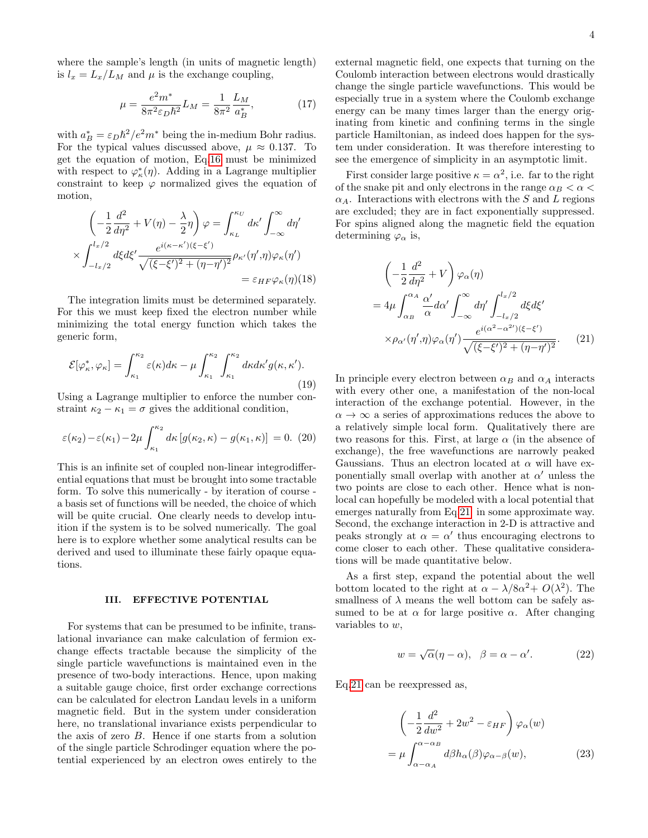where the sample's length (in units of magnetic length) is  $l_x = L_x/L_M$  and  $\mu$  is the exchange coupling,

$$
\mu = \frac{e^2 m^*}{8\pi^2 \varepsilon_D \hbar^2} L_M = \frac{1}{8\pi^2} \frac{L_M}{a_B^*},\tag{17}
$$

with  $a_B^* = \varepsilon_D \hbar^2/e^2 m^*$  being the in-medium Bohr radius. For the typical values discussed above,  $\mu \approx 0.137$ . To get the equation of motion, Eq[.16](#page-2-1) must be minimized with respect to  $\varphi_{\kappa}^*(\eta)$ . Adding in a Lagrange multiplier constraint to keep  $\varphi$  normalized gives the equation of motion,

$$
\left(-\frac{1}{2}\frac{d^2}{d\eta^2} + V(\eta) - \frac{\lambda}{2}\eta\right)\varphi = \int_{\kappa_L}^{\kappa_U} d\kappa' \int_{-\infty}^{\infty} d\eta'
$$

$$
\times \int_{-l_x/2}^{l_x/2} d\xi d\xi' \frac{e^{i(\kappa - \kappa')( \xi - \xi')}}{\sqrt{(\xi - \xi')^2 + (\eta - \eta')^2}} \rho_{\kappa'}(\eta', \eta) \varphi_{\kappa}(\eta')
$$

$$
= \varepsilon_{HF} \varphi_{\kappa}(\eta)(18)
$$

The integration limits must be determined separately. For this we must keep fixed the electron number while minimizing the total energy function which takes the generic form,

$$
\mathcal{E}[\varphi_{\kappa}^*, \varphi_{\kappa}] = \int_{\kappa_1}^{\kappa_2} \varepsilon(\kappa) d\kappa - \mu \int_{\kappa_1}^{\kappa_2} \int_{\kappa_1}^{\kappa_2} d\kappa d\kappa' g(\kappa, \kappa'). \tag{19}
$$

Using a Lagrange multiplier to enforce the number constraint  $\kappa_2 - \kappa_1 = \sigma$  gives the additional condition,

<span id="page-3-2"></span>
$$
\varepsilon(\kappa_2) - \varepsilon(\kappa_1) - 2\mu \int_{\kappa_1}^{\kappa_2} d\kappa \left[ g(\kappa_2, \kappa) - g(\kappa_1, \kappa) \right] = 0. \tag{20}
$$

This is an infinite set of coupled non-linear integrodifferential equations that must be brought into some tractable form. To solve this numerically - by iteration of course a basis set of functions will be needed, the choice of which will be quite crucial. One clearly needs to develop intuition if the system is to be solved numerically. The goal here is to explore whether some analytical results can be derived and used to illuminate these fairly opaque equations.

## III. EFFECTIVE POTENTIAL

For systems that can be presumed to be infinite, translational invariance can make calculation of fermion exchange effects tractable because the simplicity of the single particle wavefunctions is maintained even in the presence of two-body interactions. Hence, upon making a suitable gauge choice, first order exchange corrections can be calculated for electron Landau levels in a uniform magnetic field. But in the system under consideration here, no translational invariance exists perpendicular to the axis of zero B. Hence if one starts from a solution of the single particle Schrodinger equation where the potential experienced by an electron owes entirely to the

external magnetic field, one expects that turning on the Coulomb interaction between electrons would drastically change the single particle wavefunctions. This would be especially true in a system where the Coulomb exchange energy can be many times larger than the energy originating from kinetic and confining terms in the single particle Hamiltonian, as indeed does happen for the system under consideration. It was therefore interesting to see the emergence of simplicity in an asymptotic limit.

First consider large positive  $\kappa = \alpha^2$ , i.e. far to the right of the snake pit and only electrons in the range  $\alpha_B < \alpha <$  $\alpha_A$ . Interactions with electrons with the S and L regions are excluded; they are in fact exponentially suppressed. For spins aligned along the magnetic field the equation determining  $\varphi_{\alpha}$  is,

<span id="page-3-0"></span>
$$
\left(-\frac{1}{2}\frac{d^2}{d\eta^2} + V\right)\varphi_\alpha(\eta)
$$
  
=  $4\mu \int_{\alpha_B}^{\alpha_A} \frac{\alpha'}{\alpha} d\alpha' \int_{-\infty}^{\infty} d\eta' \int_{-l_x/2}^{l_x/2} d\xi d\xi'$   

$$
\times \rho_{\alpha'}(\eta', \eta)\varphi_\alpha(\eta') \frac{e^{i(\alpha^2 - \alpha^2')(\xi - \xi')}}{\sqrt{(\xi - \xi')^2 + (\eta - \eta')^2}}.
$$
 (21)

In principle every electron between  $\alpha_B$  and  $\alpha_A$  interacts with every other one, a manifestation of the non-local interaction of the exchange potential. However, in the  $\alpha \to \infty$  a series of approximations reduces the above to a relatively simple local form. Qualitatively there are two reasons for this. First, at large  $\alpha$  (in the absence of exchange), the free wavefunctions are narrowly peaked Gaussians. Thus an electron located at  $\alpha$  will have exponentially small overlap with another at  $\alpha'$  unless the two points are close to each other. Hence what is nonlocal can hopefully be modeled with a local potential that emerges naturally from Eq[.21](#page-3-0) in some approximate way. Second, the exchange interaction in 2-D is attractive and peaks strongly at  $\alpha = \alpha'$  thus encouraging electrons to come closer to each other. These qualitative considerations will be made quantitative below.

As a first step, expand the potential about the well bottom located to the right at  $\alpha - \lambda/8\alpha^2 + O(\lambda^2)$ . The smallness of  $\lambda$  means the well bottom can be safely assumed to be at  $\alpha$  for large positive  $\alpha$ . After changing variables to w,

$$
w = \sqrt{\alpha}(\eta - \alpha), \quad \beta = \alpha - \alpha'. \tag{22}
$$

Eq[.21](#page-3-0) can be reexpressed as,

<span id="page-3-1"></span>
$$
\left(-\frac{1}{2}\frac{d^2}{dw^2} + 2w^2 - \varepsilon_{HF}\right)\varphi_{\alpha}(w)
$$

$$
= \mu \int_{\alpha - \alpha_A}^{\alpha - \alpha_B} d\beta h_{\alpha}(\beta)\varphi_{\alpha - \beta}(w), \tag{23}
$$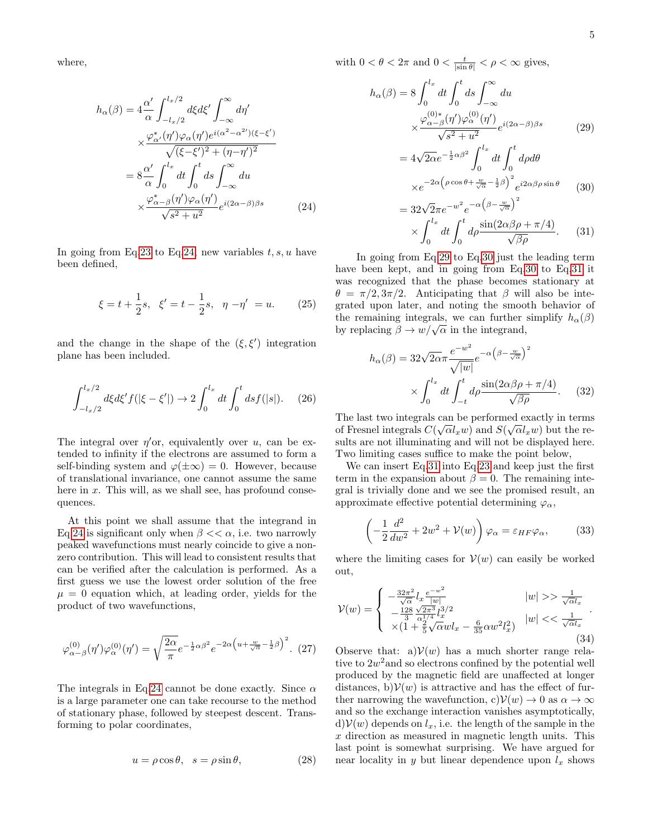where,

<span id="page-4-0"></span>
$$
h_{\alpha}(\beta) = 4 \frac{\alpha'}{\alpha} \int_{-l_{x}/2}^{l_{x}/2} d\xi d\xi' \int_{-\infty}^{\infty} d\eta'
$$
  

$$
\times \frac{\varphi_{\alpha'}^{*}(\eta') \varphi_{\alpha}(\eta') e^{i(\alpha^{2} - \alpha^{2'}) (\xi - \xi')}}{\sqrt{(\xi - \xi')^{2} + (\eta - \eta')^{2}}}
$$
  

$$
= 8 \frac{\alpha'}{\alpha} \int_{0}^{l_{x}} dt \int_{0}^{t} ds \int_{-\infty}^{\infty} du
$$
  

$$
\times \frac{\varphi_{\alpha-\beta}^{*}(\eta') \varphi_{\alpha}(\eta')}{\sqrt{s^{2} + u^{2}}} e^{i(2\alpha - \beta)\beta s}
$$
(24)

In going from Eq[.23](#page-3-1) to Eq[.24,](#page-4-0) new variables  $t, s, u$  have been defined,

$$
\xi = t + \frac{1}{2}s, \ \xi' = t - \frac{1}{2}s, \ \eta - \eta' = u.
$$
 (25)

and the change in the shape of the  $(\xi, \xi')$  integration plane has been included.

$$
\int_{-l_x/2}^{l_x/2} d\xi d\xi' f(|\xi - \xi'|) \to 2 \int_0^{l_x} dt \int_0^t ds f(|s|). \quad (26)
$$

The integral over  $\eta'$ or, equivalently over u, can be extended to infinity if the electrons are assumed to form a self-binding system and  $\varphi(\pm\infty) = 0$ . However, because of translational invariance, one cannot assume the same here in  $x$ . This will, as we shall see, has profound consequences.

At this point we shall assume that the integrand in Eq[.24](#page-4-0) is significant only when  $\beta \ll \alpha$ , i.e. two narrowly peaked wavefunctions must nearly coincide to give a nonzero contribution. This will lead to consistent results that can be verified after the calculation is performed. As a first guess we use the lowest order solution of the free  $\mu = 0$  equation which, at leading order, yields for the product of two wavefunctions,

$$
\varphi_{\alpha-\beta}^{(0)}(\eta')\varphi_{\alpha}^{(0)}(\eta') = \sqrt{\frac{2\alpha}{\pi}}e^{-\frac{1}{2}\alpha\beta^2}e^{-2\alpha\left(u+\frac{w}{\sqrt{\alpha}}-\frac{1}{2}\beta\right)^2}.\tag{27}
$$

The integrals in Eq[.24](#page-4-0) cannot be done exactly. Since  $\alpha$ is a large parameter one can take recourse to the method of stationary phase, followed by steepest descent. Transforming to polar coordinates,

$$
u = \rho \cos \theta, \quad s = \rho \sin \theta,\tag{28}
$$

with  $0 < \theta < 2\pi$  and  $0 < \frac{t}{|\sin \theta|} < \rho < \infty$  gives,

<span id="page-4-1"></span>
$$
h_{\alpha}(\beta) = 8 \int_0^{l_x} dt \int_0^t ds \int_{-\infty}^{\infty} du
$$

$$
\times \frac{\varphi_{\alpha-\beta}^{(0)*}(\eta')\varphi_{\alpha}^{(0)}(\eta')}{\sqrt{s^2 + u^2}} e^{i(2\alpha - \beta)\beta s}
$$
(29)

$$
=4\sqrt{2\alpha}e^{-\frac{1}{2}\alpha\beta^{2}}\int_{0}^{l_{x}}dt\int_{0}^{t}d\rho d\theta
$$

$$
\times e^{-2\alpha\left(\rho\cos\theta+\frac{w}{\sqrt{\alpha}}-\frac{1}{2}\beta\right)^{2}}e^{i2\alpha\beta\rho\sin\theta}
$$
(30)

$$
= 32\sqrt{2}\pi e^{-w^2} e^{-\alpha \left(\beta - \frac{w}{\sqrt{\alpha}}\right)^2}
$$

$$
\times \int_0^{l_x} dt \int_0^t d\rho \frac{\sin(2\alpha\beta\rho + \pi/4)}{\sqrt{\beta\rho}}. \quad (31)
$$

In going from Eq[.29](#page-4-1) to Eq[.30](#page-4-1) just the leading term have been kept, and in going from Eq[.30](#page-4-1) to Eq[.31](#page-4-1) it was recognized that the phase becomes stationary at  $\theta = \pi/2, 3\pi/2$ . Anticipating that  $\beta$  will also be integrated upon later, and noting the smooth behavior of the remaining integrals, we can further simplify  $h_{\alpha}(\beta)$ the remaining integrals, we can further by replacing  $\beta \to w/\sqrt{\alpha}$  in the integrand,

$$
h_{\alpha}(\beta) = 32\sqrt{2\alpha}\pi \frac{e^{-w^2}}{\sqrt{|w|}} e^{-\alpha \left(\beta - \frac{w}{\sqrt{\alpha}}\right)^2}
$$

$$
\times \int_0^{l_x} dt \int_{-t}^t d\rho \frac{\sin(2\alpha\beta\rho + \pi/4)}{\sqrt{\beta\rho}}. \tag{32}
$$

The last two integrals can be performed exactly in terms of Fresnel integrals  $C(\sqrt{\alpha}l_xw)$  and  $S(\sqrt{\alpha}l_xw)$  but the results are not illuminating and will not be displayed here. Two limiting cases suffice to make the point below,

We can insert Eq[.31](#page-4-1) into Eq[.23](#page-3-1) and keep just the first term in the expansion about  $\beta = 0$ . The remaining integral is trivially done and we see the promised result, an approximate effective potential determining  $\varphi_{\alpha}$ ,

$$
\left(-\frac{1}{2}\frac{d^2}{dw^2} + 2w^2 + V(w)\right)\varphi_\alpha = \varepsilon_{HF}\varphi_\alpha,\tag{33}
$$

where the limiting cases for  $V(w)$  can easily be worked out,

$$
\mathcal{V}(w) = \begin{cases}\n-\frac{32\pi^2}{\sqrt{\alpha}} l_x \frac{e^{-w^2}}{|w|} & |w| >> \frac{1}{\sqrt{\alpha}l_x} \\
-\frac{128}{3} \frac{\sqrt{2\pi^3}}{\alpha_1^{1/4}} l_x^{3/2} & |w| << \frac{1}{\sqrt{\alpha}l_x} \\
\times (1 + \frac{2}{5}\sqrt{\alpha}wl_x - \frac{6}{35}\alpha w^2 l_x^2)\n\end{cases} (34)
$$

Observe that: a) $\mathcal{V}(w)$  has a much shorter range relative to  $2w^2$  and so electrons confined by the potential well produced by the magnetic field are unaffected at longer distances, b) $V(w)$  is attractive and has the effect of further narrowing the wavefunction, c) $\mathcal{V}(w) \to 0$  as  $\alpha \to \infty$ and so the exchange interaction vanishes asymptotically,  $d\mathcal{V}(w)$  depends on  $l_x$ , i.e. the length of the sample in the x direction as measured in magnetic length units. This last point is somewhat surprising. We have argued for near locality in y but linear dependence upon  $l_x$  shows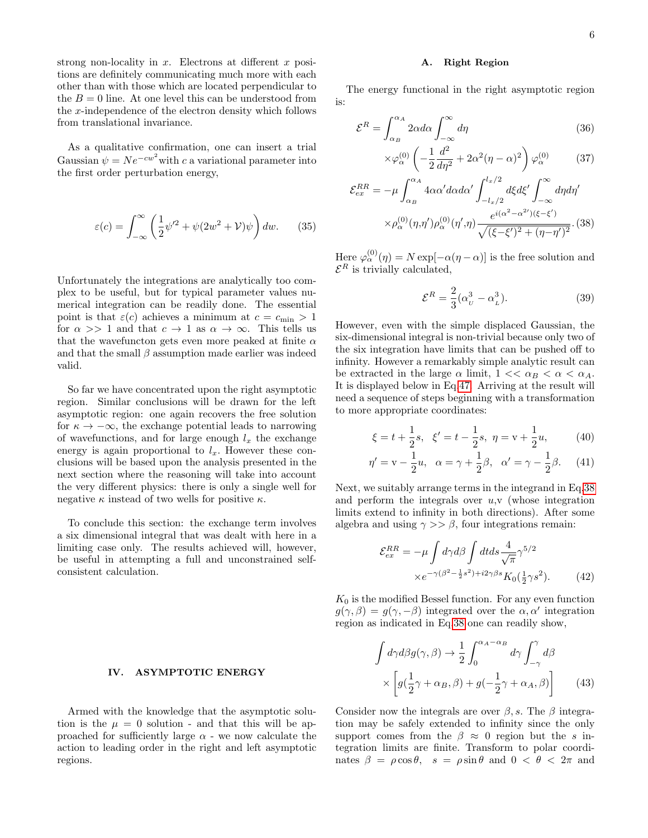strong non-locality in  $x$ . Electrons at different  $x$  positions are definitely communicating much more with each other than with those which are located perpendicular to the  $B = 0$  line. At one level this can be understood from the x-independence of the electron density which follows from translational invariance.

As a qualitative confirmation, one can insert a trial Gaussian  $\psi = Ne^{-cw^2}$  with c a variational parameter into the first order perturbation energy,

$$
\varepsilon(c) = \int_{-\infty}^{\infty} \left( \frac{1}{2} \psi'^2 + \psi(2w^2 + V)\psi \right) dw. \tag{35}
$$

Unfortunately the integrations are analytically too complex to be useful, but for typical parameter values numerical integration can be readily done. The essential point is that  $\varepsilon(c)$  achieves a minimum at  $c = c_{\min} > 1$ for  $\alpha >> 1$  and that  $c \to 1$  as  $\alpha \to \infty$ . This tells us that the wavefuncton gets even more peaked at finite  $\alpha$ and that the small  $\beta$  assumption made earlier was indeed valid.

So far we have concentrated upon the right asymptotic region. Similar conclusions will be drawn for the left asymptotic region: one again recovers the free solution for  $\kappa \to -\infty$ , the exchange potential leads to narrowing of wavefunctions, and for large enough  $l_x$  the exchange energy is again proportional to  $l_x$ . However these conclusions will be based upon the analysis presented in the next section where the reasoning will take into account the very different physics: there is only a single well for negative  $\kappa$  instead of two wells for positive  $\kappa$ .

To conclude this section: the exchange term involves a six dimensional integral that was dealt with here in a limiting case only. The results achieved will, however, be useful in attempting a full and unconstrained selfconsistent calculation.

#### IV. ASYMPTOTIC ENERGY

Armed with the knowledge that the asymptotic solution is the  $\mu = 0$  solution - and that this will be approached for sufficiently large  $\alpha$  - we now calculate the action to leading order in the right and left asymptotic regions.

#### A. Right Region

The energy functional in the right asymptotic region is:

<span id="page-5-0"></span>
$$
\mathcal{E}^R = \int_{\alpha_B}^{\alpha_A} 2\alpha d\alpha \int_{-\infty}^{\infty} d\eta \tag{36}
$$

$$
\times \varphi_{\alpha}^{(0)} \left( -\frac{1}{2} \frac{d^2}{d\eta^2} + 2\alpha^2 (\eta - \alpha)^2 \right) \varphi_{\alpha}^{(0)} \tag{37}
$$

$$
\mathcal{E}_{ex}^{RR} = -\mu \int_{\alpha_B}^{\alpha_A} 4\alpha \alpha' d\alpha d\alpha' \int_{-l_x/2}^{l_x/2} d\xi d\xi' \int_{-\infty}^{\infty} d\eta d\eta' \times \rho_{\alpha}^{(0)}(\eta, \eta') \rho_{\alpha}^{(0)}(\eta', \eta) \frac{e^{i(\alpha^2 - \alpha^2') (\xi - \xi')}}{\sqrt{(\xi - \xi')^2 + (\eta - \eta')^2}}. (38)
$$

Here  $\varphi_{\alpha}^{(0)}(\eta) = N \exp[-\alpha(\eta - \alpha)]$  is the free solution and  $\mathcal{E}^R$  is trivially calculated,

$$
\mathcal{E}^R = \frac{2}{3} (\alpha_U^3 - \alpha_L^3). \tag{39}
$$

However, even with the simple displaced Gaussian, the six-dimensional integral is non-trivial because only two of the six integration have limits that can be pushed off to infinity. However a remarkably simple analytic result can be extracted in the large  $\alpha$  limit,  $1 \lt \alpha_B \lt \alpha \lt \alpha_A$ . It is displayed below in Eq[.47.](#page-6-0) Arriving at the result will need a sequence of steps beginning with a transformation to more appropriate coordinates:

$$
\xi = t + \frac{1}{2}s, \quad \xi' = t - \frac{1}{2}s, \quad \eta = v + \frac{1}{2}u,
$$
\n(40)

$$
\eta' = v - \frac{1}{2}u, \quad \alpha = \gamma + \frac{1}{2}\beta, \quad \alpha' = \gamma - \frac{1}{2}\beta.
$$
 (41)

Next, we suitably arrange terms in the integrand in Eq[.38](#page-5-0) and perform the integrals over  $u, v$  (whose integration limits extend to infinity in both directions). After some algebra and using  $\gamma \gg \beta$ , four integrations remain:

$$
\mathcal{E}_{ex}^{RR} = -\mu \int d\gamma d\beta \int dt ds \frac{4}{\sqrt{\pi}} \gamma^{5/2}
$$

$$
\times e^{-\gamma(\beta^2 - \frac{1}{2}s^2) + i2\gamma\beta s} K_0(\frac{1}{2}\gamma s^2). \tag{42}
$$

 $K_0$  is the modified Bessel function. For any even function  $g(\gamma, \beta) = g(\gamma, -\beta)$  integrated over the  $\alpha, \alpha'$  integration region as indicated in Eq[.38](#page-5-0) one can readily show,

$$
\int d\gamma d\beta g(\gamma,\beta) \to \frac{1}{2} \int_0^{\alpha_A - \alpha_B} d\gamma \int_{-\gamma}^{\gamma} d\beta
$$

$$
\times \left[ g(\frac{1}{2}\gamma + \alpha_B, \beta) + g(-\frac{1}{2}\gamma + \alpha_A, \beta) \right] \tag{43}
$$

Consider now the integrals are over  $\beta$ , s. The  $\beta$  integration may be safely extended to infinity since the only support comes from the  $\beta \approx 0$  region but the s integration limits are finite. Transform to polar coordinates  $\beta = \rho \cos \theta$ ,  $s = \rho \sin \theta$  and  $0 < \theta < 2\pi$  and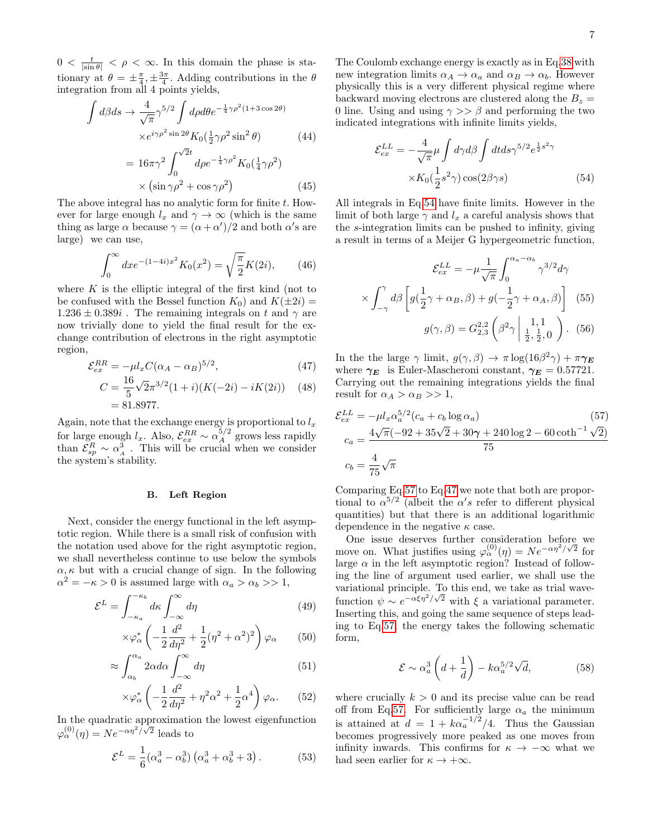$0 < \frac{t}{|\sin \theta|} < \rho < \infty$ . In this domain the phase is stationary at  $\theta = \pm \frac{\pi}{4}, \pm \frac{3\pi}{4}$ . Adding contributions in the  $\theta$ integration from all 4 points yields,

$$
\int d\beta ds \to \frac{4}{\sqrt{\pi}} \gamma^{5/2} \int d\rho d\theta e^{-\frac{1}{4}\gamma \rho^2 (1+3\cos 2\theta)} \times e^{i\gamma \rho^2 \sin 2\theta} K_0(\frac{1}{2}\gamma \rho^2 \sin^2 \theta)
$$
(44)

$$
= 16\pi\gamma^2 \int_0^{\sqrt{2}t} d\rho e^{-\frac{1}{4}\gamma\rho^2} K_0(\frac{1}{4}\gamma\rho^2)
$$
  
 
$$
\times (\sin \gamma\rho^2 + \cos \gamma\rho^2)
$$
 (45)

The above integral has no analytic form for finite  $t$ . However for large enough  $l_x$  and  $\gamma \to \infty$  (which is the same thing as large  $\alpha$  because  $\gamma = (\alpha + \alpha')/2$  and both  $\alpha'$ s are large) we can use,

$$
\int_0^\infty dx e^{-(1-4i)x^2} K_0(x^2) = \sqrt{\frac{\pi}{2}} K(2i), \qquad (46)
$$

where  $K$  is the elliptic integral of the first kind (not to be confused with the Bessel function  $K_0$ ) and  $K(\pm 2i)$  =  $1.236 \pm 0.389i$ . The remaining integrals on t and  $\gamma$  are now trivially done to yield the final result for the exchange contribution of electrons in the right asymptotic region,

<span id="page-6-0"></span>
$$
\mathcal{E}_{ex}^{RR} = -\mu l_x C (\alpha_A - \alpha_B)^{5/2},\tag{47}
$$

$$
C = \frac{16}{5}\sqrt{2}\pi^{3/2}(1+i)(K(-2i) - iK(2i))
$$
 (48)  
= 81.8977.

Again, note that the exchange energy is proportional to  $l_x$ for large enough  $l_x$ . Also,  $\mathcal{E}_{ex}^{RR} \sim \alpha_A^{5/2}$  grows less rapidly than  $\mathcal{E}_{sp}^R \sim \alpha_A^3$ . This will be crucial when we consider the system's stability.

### B. Left Region

Next, consider the energy functional in the left asymptotic region. While there is a small risk of confusion with the notation used above for the right asymptotic region, we shall nevertheless continue to use below the symbols  $\alpha, \kappa$  but with a crucial change of sign. In the following  $\alpha^2 = -\kappa > 0$  is assumed large with  $\alpha_a > \alpha_b >> 1$ ,

$$
\mathcal{E}^{L} = \int_{-\kappa_a}^{-\kappa_b} d\kappa \int_{-\infty}^{\infty} d\eta
$$
 (49)

$$
\times \varphi_{\alpha}^* \left( -\frac{1}{2} \frac{d^2}{d\eta^2} + \frac{1}{2} (\eta^2 + \alpha^2)^2 \right) \varphi_{\alpha} \qquad (50)
$$

$$
\approx \int_{\alpha_b}^{\alpha_a} 2\alpha d\alpha \int_{-\infty}^{\infty} d\eta \tag{51}
$$

$$
\times \varphi_{\alpha}^* \left( -\frac{1}{2} \frac{d^2}{d\eta^2} + \eta^2 \alpha^2 + \frac{1}{2} \alpha^4 \right) \varphi_{\alpha}.
$$
 (52)

In the quadratic approximation the lowest eigenfunction  $\varphi_\alpha^{(0)}(\eta) = N e^{-\alpha \eta^2/\sqrt{2}}$  leads to

$$
\mathcal{E}^{L} = \frac{1}{6} (\alpha_a^3 - \alpha_b^3) \left( \alpha_a^3 + \alpha_b^3 + 3 \right). \tag{53}
$$

The Coulomb exchange energy is exactly as in Eq[.38](#page-5-0) with new integration limits  $\alpha_A \rightarrow \alpha_a$  and  $\alpha_B \rightarrow \alpha_b$ . However physically this is a very different physical regime where backward moving electrons are clustered along the  $B_z =$ 0 line. Using and using  $\gamma >> \beta$  and performing the two indicated integrations with infinite limits yields,

<span id="page-6-1"></span>
$$
\mathcal{E}_{ex}^{LL} = -\frac{4}{\sqrt{\pi}} \mu \int d\gamma d\beta \int dt ds \gamma^{5/2} e^{\frac{1}{2}s^2 \gamma}
$$

$$
\times K_0(\frac{1}{2}s^2 \gamma) \cos(2\beta \gamma s)
$$
(54)

All integrals in Eq[.54](#page-6-1) have finite limits. However in the limit of both large  $\gamma$  and  $l_x$  a careful analysis shows that the s-integration limits can be pushed to infinity, giving a result in terms of a Meijer G hypergeometric function,

$$
\mathcal{E}_{ex}^{LL} = -\mu \frac{1}{\sqrt{\pi}} \int_0^{\alpha_a - \alpha_b} \gamma^{3/2} d\gamma
$$

$$
\times \int_{-\gamma}^{\gamma} d\beta \left[ g(\frac{1}{2}\gamma + \alpha_B, \beta) + g(-\frac{1}{2}\gamma + \alpha_A, \beta) \right] \tag{55}
$$

$$
g(\gamma, \beta) = G_{2,3}^{2,2} \left( \beta^2 \gamma \middle| \frac{1}{2}, \frac{1}{2}, 0 \right). \tag{56}
$$

In the the large  $\gamma$  limit,  $g(\gamma, \beta) \to \pi \log(16\beta^2 \gamma) + \pi \gamma_E$ where  $\gamma_E$  is Euler-Mascheroni constant,  $\gamma_E = 0.57721$ . Carrying out the remaining integrations yields the final result for  $\alpha_A > \alpha_B >> 1$ ,

<span id="page-6-2"></span>
$$
\mathcal{E}_{ex}^{LL} = -\mu l_x \alpha_a^{5/2} (c_a + c_b \log \alpha_a)
$$
(57)  

$$
c_a = \frac{4\sqrt{\pi}(-92 + 35\sqrt{2} + 30\gamma + 240 \log 2 - 60 \coth^{-1} \sqrt{2})}{75}
$$
  

$$
c_b = \frac{4}{75} \sqrt{\pi}
$$

Comparing Eq[.57](#page-6-2) to Eq[.47](#page-6-0) we note that both are proportional to  $\alpha^{5/2}$  (albeit the  $\alpha's$  refer to different physical quantities) but that there is an additional logarithmic dependence in the negative  $\kappa$  case.

One issue deserves further consideration before we One issue deserves further consideration before we<br>move on. What justifies using  $\varphi_{\alpha}^{(0)}(\eta) = N e^{-\alpha \eta^2/\sqrt{2}}$  for large  $\alpha$  in the left asymptotic region? Instead of following the line of argument used earlier, we shall use the variational principle. To this end, we take as trial wavefunction  $\psi \sim e^{-\alpha \xi \eta^2/\sqrt{2}}$  with  $\xi$  a variational parameter. Inserting this, and going the same sequence of steps leading to Eq[.57,](#page-6-2) the energy takes the following schematic form,

$$
\mathcal{E} \sim \alpha_a^3 \left( d + \frac{1}{d} \right) - k \alpha_a^{5/2} \sqrt{d},\tag{58}
$$

where crucially  $k > 0$  and its precise value can be read off from Eq[.57.](#page-6-2) For sufficiently large  $\alpha_a$  the minimum is attained at  $d = 1 + k\alpha_a^{-1/2}/4$ . Thus the Gaussian becomes progressively more peaked as one moves from infinity inwards. This confirms for  $\kappa \to -\infty$  what we had seen earlier for  $\kappa \to +\infty$ .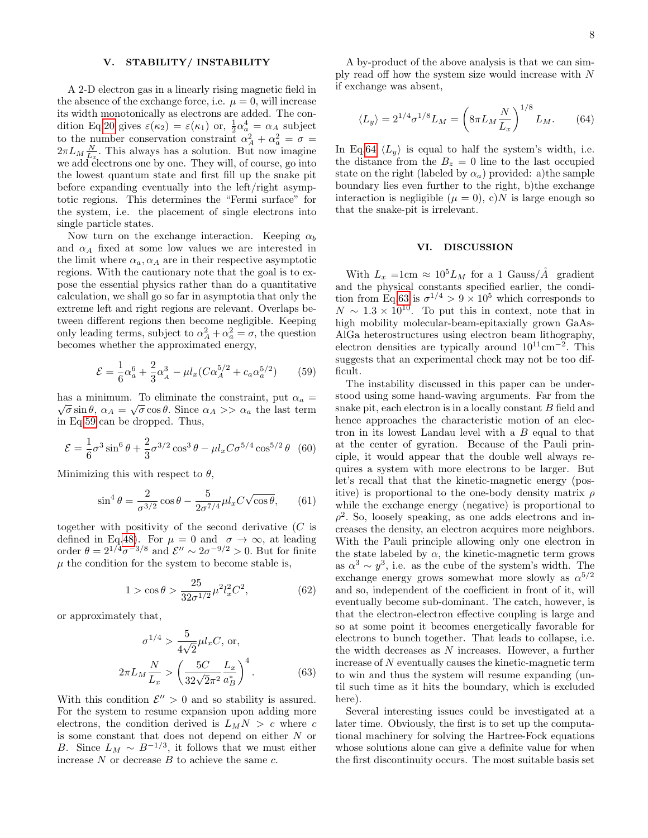## V. STABILITY/ INSTABILITY

A 2-D electron gas in a linearly rising magnetic field in the absence of the exchange force, i.e.  $\mu = 0$ , will increase its width monotonically as electrons are added. The con-dition Eq[.20](#page-3-2) gives  $\varepsilon(\kappa_2) = \varepsilon(\kappa_1)$  or,  $\frac{1}{2}\alpha_a^4 = \alpha_A$  subject to the number conservation constraint  $\alpha_A^2 + \alpha_a^2 = \sigma =$  $2\pi L_M \frac{N}{L_x}$ . This always has a solution. But now imagine we add electrons one by one. They will, of course, go into the lowest quantum state and first fill up the snake pit before expanding eventually into the left/right asymptotic regions. This determines the "Fermi surface" for the system, i.e. the placement of single electrons into single particle states.

Now turn on the exchange interaction. Keeping  $\alpha_b$ and  $\alpha_A$  fixed at some low values we are interested in the limit where  $\alpha_a, \alpha_A$  are in their respective asymptotic regions. With the cautionary note that the goal is to expose the essential physics rather than do a quantitative calculation, we shall go so far in asymptotia that only the extreme left and right regions are relevant. Overlaps between different regions then become negligible. Keeping only leading terms, subject to  $\alpha_A^2 + \alpha_a^2 = \sigma$ , the question becomes whether the approximated energy,

<span id="page-7-1"></span>
$$
\mathcal{E} = \frac{1}{6}\alpha_a^6 + \frac{2}{3}\alpha_A^3 - \mu l_x (C\alpha_A^{5/2} + c_a \alpha_a^{5/2})
$$
 (59)

has a minimum. To eliminate the constraint, put  $\alpha_a = \overline{\phantom{a}}$  $\overline{\sigma} \sin \theta$ ,  $\alpha_A = \sqrt{\sigma} \cos \theta$ . Since  $\alpha_A >> \alpha_a$  the last term in Eq[.59](#page-7-1) can be dropped. Thus,

$$
\mathcal{E} = \frac{1}{6}\sigma^3 \sin^6 \theta + \frac{2}{3}\sigma^{3/2} \cos^3 \theta - \mu l_x C \sigma^{5/4} \cos^{5/2} \theta
$$
 (60)

Minimizing this with respect to  $\theta$ ,

$$
\sin^4 \theta = \frac{2}{\sigma^{3/2}} \cos \theta - \frac{5}{2\sigma^{7/4}} \mu l_x C \sqrt{\cos \theta}, \qquad (61)
$$

together with positivity of the second derivative  $(C$  is defined in Eq[.48\)](#page-6-0). For  $\mu = 0$  and  $\sigma \to \infty$ , at leading order  $\theta = 2^{1/4} \sigma^{-3/8}$  and  $\mathcal{E}'' \sim 2 \sigma^{-9/2} > 0$ . But for finite  $\mu$  the condition for the system to become stable is,

$$
1 > \cos \theta > \frac{25}{32\sigma^{1/2}} \mu^2 l_x^2 C^2, \tag{62}
$$

or approximately that,

<span id="page-7-2"></span>
$$
\sigma^{1/4} > \frac{5}{4\sqrt{2}} \mu l_x C, \text{ or,}
$$
\n
$$
2\pi L_M \frac{N}{L_x} > \left(\frac{5C}{32\sqrt{2}\pi^2} \frac{L_x}{a_B^*}\right)^4. \tag{63}
$$

With this condition  $\mathcal{E}'' > 0$  and so stability is assured. For the system to resume expansion upon adding more electrons, the condition derived is  $L_M N > c$  where c is some constant that does not depend on either N or B. Since  $L_M \sim B^{-1/3}$ , it follows that we must either increase  $N$  or decrease  $B$  to achieve the same  $c$ .

A by-product of the above analysis is that we can simply read off how the system size would increase with N if exchange was absent,

<span id="page-7-0"></span>
$$
\langle L_y \rangle = 2^{1/4} \sigma^{1/8} L_M = \left( 8 \pi L_M \frac{N}{L_x} \right)^{1/8} L_M.
$$
 (64)

In Eq[.64](#page-7-0)  $\langle L_y \rangle$  is equal to half the system's width, i.e. the distance from the  $B_z = 0$  line to the last occupied state on the right (labeled by  $\alpha_a$ ) provided: a)the sample boundary lies even further to the right, b)the exchange interaction is negligible  $(\mu = 0)$ , c)N is large enough so that the snake-pit is irrelevant.

## VI. DISCUSSION

With  $L_x = 1$ cm  $\approx 10^5 L_M$  for a 1 Gauss/ $\AA$  gradient and the physical constants specified earlier, the condi-tion from Eq[.63](#page-7-2) is  $\sigma^{1/4} > 9 \times 10^5$  which corresponds to  $N \sim 1.3 \times 10^{10}$ . To put this in context, note that in high mobility molecular-beam-epitaxially grown GaAs-AlGa heterostructures using electron beam lithography, electron densities are typically around  $10^{11}$ cm<sup>-2</sup>. This suggests that an experimental check may not be too difficult.

The instability discussed in this paper can be understood using some hand-waving arguments. Far from the snake pit, each electron is in a locally constant B field and hence approaches the characteristic motion of an electron in its lowest Landau level with a B equal to that at the center of gyration. Because of the Pauli principle, it would appear that the double well always requires a system with more electrons to be larger. But let's recall that that the kinetic-magnetic energy (positive) is proportional to the one-body density matrix  $\rho$ while the exchange energy (negative) is proportional to  $\rho^2$ . So, loosely speaking, as one adds electrons and increases the density, an electron acquires more neighbors. With the Pauli principle allowing only one electron in the state labeled by  $\alpha$ , the kinetic-magnetic term grows as  $\alpha^3 \sim y^3$ , i.e. as the cube of the system's width. The exchange energy grows somewhat more slowly as  $\alpha^{5/2}$ and so, independent of the coefficient in front of it, will eventually become sub-dominant. The catch, however, is that the electron-electron effective coupling is large and so at some point it becomes energetically favorable for electrons to bunch together. That leads to collapse, i.e. the width decreases as N increases. However, a further increase of N eventually causes the kinetic-magnetic term to win and thus the system will resume expanding (until such time as it hits the boundary, which is excluded here).

Several interesting issues could be investigated at a later time. Obviously, the first is to set up the computational machinery for solving the Hartree-Fock equations whose solutions alone can give a definite value for when the first discontinuity occurs. The most suitable basis set